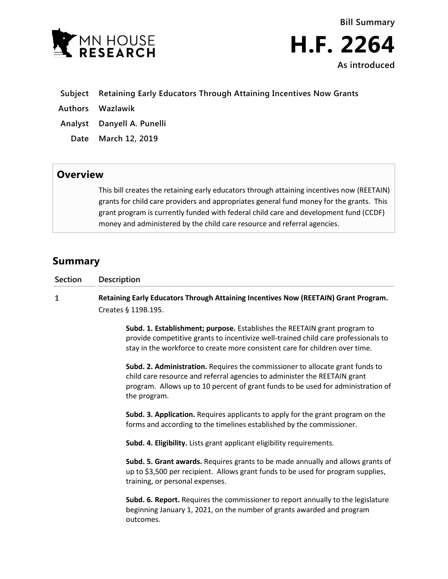



- **Subject Retaining Early Educators Through Attaining Incentives Now Grants**
- **Authors Wazlawik**
- **Analyst Danyell A. Punelli**
- **Date March 12, 2019**

## **Overview**

This bill creates the retaining early educators through attaining incentives now (REETAIN) grants for child care providers and appropriates general fund money for the grants. This grant program is currently funded with federal child care and development fund (CCDF) money and administered by the child care resource and referral agencies.

## **Summary**

| Section | <b>Description</b>                                                                                                                                                                                                                              |
|---------|-------------------------------------------------------------------------------------------------------------------------------------------------------------------------------------------------------------------------------------------------|
|         | Retaining Early Educators Through Attaining Incentives Now (REETAIN) Grant Program.                                                                                                                                                             |
|         | Creates § 119B.195.                                                                                                                                                                                                                             |
|         | Subd. 1. Establishment; purpose. Establishes the REETAIN grant program to<br>provide competitive grants to incentivize well-trained child care professionals to<br>stay in the workforce to create more consistent care for children over time. |

**Subd. 2. Administration.** Requires the commissioner to allocate grant funds to child care resource and referral agencies to administer the REETAIN grant program. Allows up to 10 percent of grant funds to be used for administration of the program.

**Subd. 3. Application.** Requires applicants to apply for the grant program on the forms and according to the timelines established by the commissioner.

**Subd. 4. Eligibility.** Lists grant applicant eligibility requirements.

**Subd. 5. Grant awards.** Requires grants to be made annually and allows grants of up to \$3,500 per recipient. Allows grant funds to be used for program supplies, training, or personal expenses.

**Subd. 6. Report.** Requires the commissioner to report annually to the legislature beginning January 1, 2021, on the number of grants awarded and program outcomes.